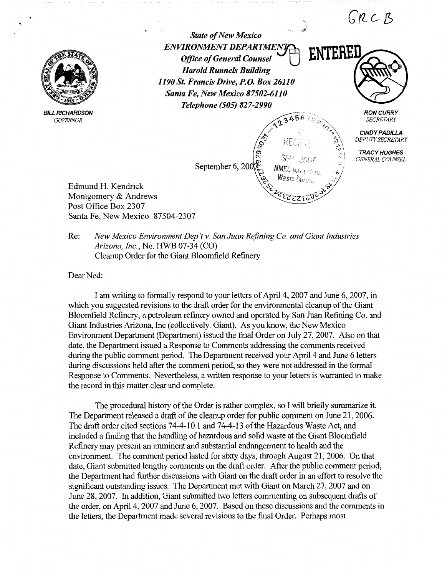

'

**BILL RICHARDSON** *GOVERNOR* 

*State of New Mexico*  **ENVIRONMENT DEPARTMEN** *Office of General Counsel Harold Runnels Building 1190 St. Francis Drive, P.O. Box 26110 Santa Fe, New Mexico 87502-6110 Telephone (505) 827-2990* 

23456

NMEC<sub>Hara</sub>

ENTEREI

 $GRCB$ 

**RON CURRY**  *SECRETARY* 

**CINDY PADILLA**  *DEPUTY SECRETARY* 

**TRACY HUGHES**  *GENERAL COUNSEL* 

September 6, 200 percent

Edmund H. Kendrick Montgomery & Andrews Post Office Box 2307 Santa Fe, New Mexico 87504-2307

Re: *New Mexico Environment Dep 't v. San Juan Refining Co. and Giant Industries Arizona, Inc.,* No. HWB 07-34 (CO) Cleanup Order for the Giant Bloomfield Refinery

Dear Ned:

I am writing to formally respond to your letters of April 4, 2007 and June 6, 2007, in which you suggested revisions to the draft order for the environmental cleanup of the Giant Bloomfield Refinery, a petroleum refinery owned and operated by San Juan Refining Co. and Giant Industries Arizona, Inc (collectively, Giant). As you know, the New Mexico Environment Department (Department) issued the final Order on July 27, 2007. Also on that date, the Department issued a Response to Comments addressing the comments received during the public comment period. The Department received your April 4 and June 6 letters during discussions held after the comment period, so they were not addressed in the formal Response to Comments. Nevertheless, a written response to your letters is warranted to make the record in this matter clear and complete.

The procedural history of the Order is rather complex, so I will briefly summarize it. The Department released a draft of the cleanup order for public comment on June 21, 2006. The draft order cited sections 74-4-10.1 and 74-4-13 of the Hazardous Waste Act, and included a finding that the handling of hazardous and solid waste at the Giant Bloomfield Refinery may present an imminent and substantial endangerment to health and the environment. The comment period lasted for sixty days, through August 21, 2006. On that date, Giant submitted lengthy comments on the draft order. After the public comment period, the Department had further discussions with Giant on the draft order in an effort to resolve the significant outstanding issues. The Department met with Giant on March 27, 2007 and on June 28, 2007. In addition, Giant submitted two letters commenting on subsequent drafts of the order, on April 4, 2007 and June 6, 2007. Based on these discussions and the comments in the letters, the Department made several revisions to the final Order. Perhaps most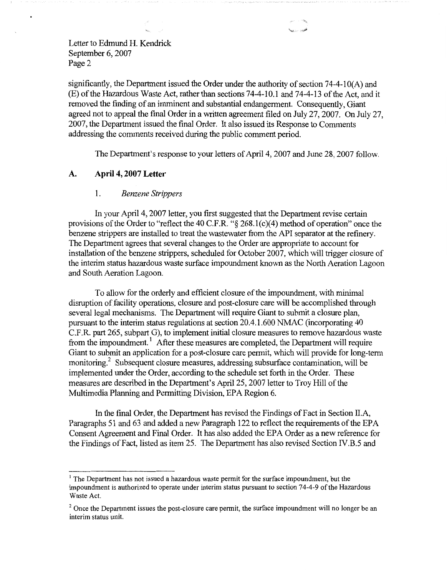significantly, the Department issued the Order under the authority of section 74-4-1 0(A) and (E) of the Hazardous Waste Act, rather than sections 7 4-4-10 .1 and 7 4-4-13 of the Act, and it removed the finding of an imminent and substantial endangerment. Consequently, Giant agreed not to appeal the final Order in a written agreement filed on July 27, 2007. On July 27, 2007, the Department issued the final Order. It also issued its Response to Comments addressing the comments received during the public comment period.

The Department's response to your letters of April 4, 2007 and June 28, 2007 follow.

### **A. April 4, 2007 Letter**

#### l . *Benzene Strippers*

In your April 4, 2007 letter, you first suggested that the Department revise certain provisions of the Order to "reflect the 40 C.F.R. "§ 268. l(c)(4) method of operation" once the benzene strippers are installed to treat the wastewater from the API separator at the refinery. The Department agrees that several changes to the Order are appropriate to account for installation of the benzene strippers, scheduled for October 2007, which will trigger closure of the interim status hazardous waste surface impoundment known as the North Aeration Lagoon and South Aeration Lagoon.

To allow for the orderly and efficient closure of the impoundment, with minimal disruption of facility operations, closure and post-closure care will be accomplished through several legal mechanisms. The Department will require Giant to submit a closure plan, pursuant to the interim status regulations at section 20.4.1.600 NMAC (incorporating 40 C.F.R. part 265, subpart G), to implement initial closure measures to remove hazardous waste from the impoundment.<sup>1</sup> After these measures are completed, the Department will require Giant to submit an application for a post-closure care permit, which will provide for long-term monitoring.<sup>2</sup> Subsequent closure measures, addressing subsurface contamination, will be implemented under the Order, according to the schedule set forth in the Order. These measures are described in the Department's April 25, 2007 letter to Troy Hill of the Multimedia Planning and Permitting Division, EPA Region 6.

In the final Order, the Department has revised the Findings of Fact in Section II.A, Paragraphs 51 and 63 and added a new Paragraph 122 to reflect the requirements of the EPA Consent Agreement and Final Order. It has also added the EPA Order as a new reference for the Findings of Fact, listed as item 25. The Department has also revised Section IV.B.5 and

 $<sup>1</sup>$  The Department has not issued a hazardous waste permit for the surface impoundment, but the</sup> impoundment is authorized to operate under interim status pursuant to section 74-4-9 of the Hazardous Waste Act.

<sup>&</sup>lt;sup>2</sup> Once the Department issues the post-closure care permit, the surface impoundment will no longer be an interim status unit.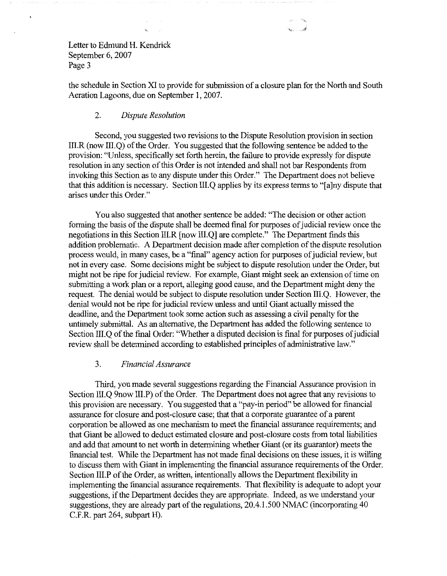the schedule in Section XI to provide for submission of a closure plan for the North and South Aeration Lagoons, due on September 1, 2007.

### 2. *Dispute Resolution*

Second, you suggested two revisions to the Dispute Resolution provision in section III.R (now III.Q) of the Order. You suggested that the following sentence be added to the provision: "Unless, specifically set forth herein, the failure to provide expressly for dispute resolution in any section of this Order is not intended and shall not bar Respondents from invoking this Section as to any dispute under this Order." The Department does not believe that this addition is necessary. Section III.Q applies by its express terms to "[a]ny dispute that arises under this Order."

You also suggested that another sentence be added: "The decision or other action forming the basis of the dispute shall be deemed final for purposes of judicial review once the negotiations in this Section III.R [now III.Q] are complete." The Department finds this addition problematic. A Department decision made after completion of the dispute resolution process would, in many cases, be a "final" agency action for purposes of judicial review, but not in every case. Some decisions might be subject to dispute resolution under the Order, but might not be ripe for judicial review. For example, Giant might seek an extension of time on submitting a work plan or a report, alleging good cause, and the Department might deny the request. The denial would be subject to dispute resolution under Section III.Q. However, the denial would not be ripe for judicial review unless and until Giant actually missed the deadline, and the Department took some action such as assessing a civil penalty for the untimely submittal. As an alternative, the Department has added the following sentence to Section III.Q of the final Order: "Whether a disputed decision is final for purposes of judicial review shall be determined according to established principles of administrative law."

### 3. *Financial Assurance*

Third, you made several suggestions regarding the Financial Assurance provision in Section III.Q 9now III.P) of the Order. The Department does not agree that any revisions to this provision are necessary. You suggested that a "pay-in period" be allowed for financial assurance for closure and post-closure case; that that a corporate guarantee of a parent corporation be allowed as one mechanism to meet the financial assurance requirements; and that Giant be allowed to deduct estimated closure and post-closure costs from total liabilities and add that amount to net worth in determining whether Giant (or its guarantor) meets the financial test. While the Department has not made final decisions on these issues, it is willing to discuss them with Giant in implementing the financial assurance requirements of the Order. Section 111.P of the Order, as written, intentionally allows the Department flexibility in implementing the financial assurance requirements. That flexibility is adequate to adopt your suggestions, if the Department decides they are appropriate. Indeed, as we understand your suggestions, they are already part of the regulations, 20.4.1.500 NMAC (incorporating 40 C.F.R. part 264, subpart H).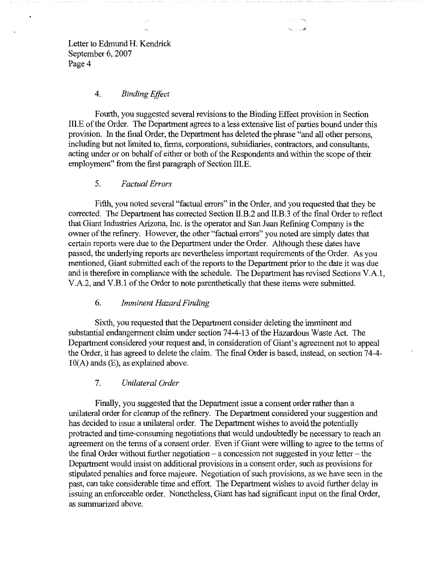#### 4. *Binding Effect*

Fourth, you suggested several revisions to the Binding Effect provision in Section III.E of the Order. The Department agrees to a less extensive list of parties bound under this provision. In the final Order, the Department has deleted the phrase "and all other persons, including but not limited to, firms, corporations, subsidiaries, contractors, and consultants, acting under or on behalf of either or both of the Respondents and within the scope of their employment" from the first paragraph of Section III.E.

### 5. *Factual Errors*

Fifth, you noted several "factual errors" in the Order, and you requested that they be corrected. The Department has corrected Section II.B.2 and II.B.3 of the final Order to reflect that Giant Industries Arizona, Inc. is the operator and San Juan Refining Company is the owner of the refinery. However, the other "factual errors" you noted are simply dates that certain reports were due to the Department under the Order. Although these dates have passed, the underlying reports are nevertheless important requirements of the Order. As you mentioned, Giant submitted each of the reports to the Department prior to the date it was due and is therefore in compliance with the schedule. The Department has revised Sections V .A.1, V.A.2, and V.B.1 of the Order to note parenthetically that these items were submitted.

### 6. *Imminent Hazard Finding*

Sixth, you requested that the Department consider deleting the imminent and substantial endangerment claim under section 74-4-13 of the Hazardous Waste Act. The Department considered your request and, in consideration of Giant's agreement not to appeal the Order, it has agreed to delete the claim. The final Order is based, instead, on section 74-4-  $10(A)$  ands  $(E)$ , as explained above.

### 7. *Unilateral Order*

Finally, you suggested that the Department issue a consent order rather than a unilateral order for cleanup of the refinery. The Department considered your suggestion and has decided to issue a unilateral order. The Department wishes to avoid the potentially protracted and time-consuming negotiations that would undoubtedly be necessary to reach an agreement on the terms of a consent order. Even if Giant were willing to agree to the terms of the final Order without further negotiation  $-$  a concession not suggested in your letter  $-$  the Department would insist on additional provisions in a consent order, such as provisions for stipulated penalties and force majeure. Negotiation of such provisions, as we have seen in the past, can take considerable time and effort. The Department wishes to avoid further delay in issuing an enforceable order. Nonetheless, Giant has had significant input on the final Order, as summarized above.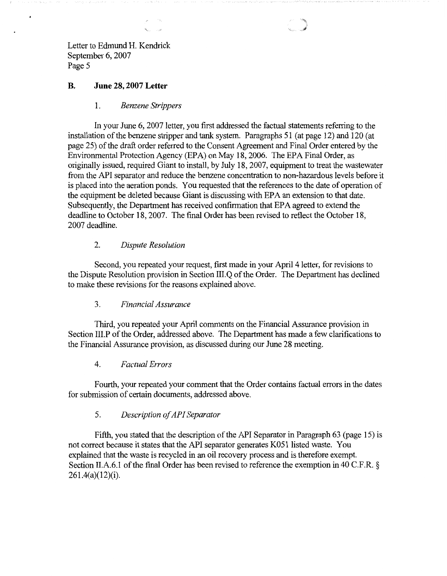$\ddot{\phantom{0}}$ 

# **B. June 28, 2007 Letter**

### 1. *Benzene Strippers*

In your June 6, 2007 letter, you first addressed the factual statements referring to the installation of the benzene stripper and tank system. Paragraphs 51 (at page 12) and 120 (at page 25) of the draft order referred to the Consent Agreement and Final Order entered by the Environmental Protection Agency (EPA) on May 18, 2006. The EPA Final Order, as originally issued, required Giant to install, by July 18, 2007, equipment to treat the wastewater from the API separator and reduce the benzene concentration to non-hazardous levels before it is placed into the aeration ponds. You requested that the references to the date of operation of the equipment be deleted because Giant is discussing with EPA an extension to that date. Subsequently, the Department has received confirmation that EPA agreed to extend the deadline to October 18, 2007. The final Order has been revised to reflect the October 18, 2007 deadline.

### 2. *Dispute Resolution*

Second, you repeated your request, first made in your April 4 letter, for revisions to the Dispute Resolution provision in Section III.Q of the Order. The Department has declined to make these revisions for the reasons explained above.

### 3. *Financial Assurance*

Third, you repeated your April comments on the Financial Assurance provision in Section III.P of the Order, addressed above. The Department has made a few clarifications to the Financial Assurance provision, as discussed during our June 28 meeting.

### 4. *Factual Errors*

Fourth, your repeated your comment that the Order contains factual errors in the dates for submission of certain documents, addressed above.

## 5. *Description of API Separator*

Fifth, you stated that the description of the API Separator in Paragraph 63 (page 15) is not correct because it states that the APl separator generates K051 listed waste. You explained that the waste is recycled in an oil recovery process and is therefore exempt. Section II.A.6.1 of the final Order has been revised to reference the exemption in 40 C.F.R. § 261.4(a)(12)(i).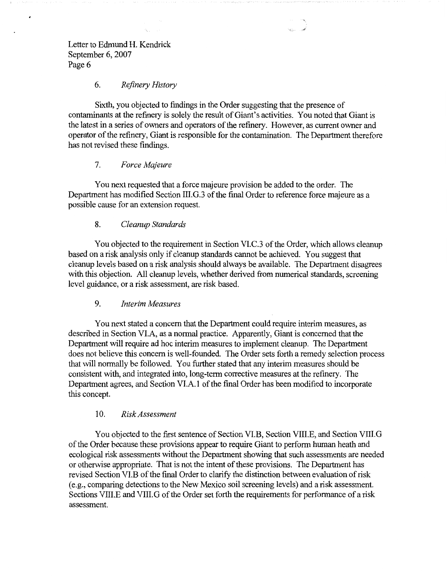$\cdot$ 

## 6. *Refinery History*

Sixth, you objected to findings **in** the Order suggesting that the presence of contaminants at the refinery is solely the result of Giant's activities. You noted that Giant is the latest in a series of owners and operators of the refinery. However, as current owner and operator of the refinery, Giant is responsible for the contamination. The Department therefore has not revised these findings.

### 7. *Force Majeure*

You next requested that a force majeure provision be added to the order. The Department has modified Section III.G.3 of the fmal Order to reference force majeure as a possible cause for an extension request.

### 8. *Cleanup Standards*

You objected to the requirement in Section VI.C.3 of the Order, which allows cleanup based on a risk analysis only if cleanup standards cannot be achieved. You suggest that cleanup levels based on a risk analysis should always be available. The Department disagrees with this objection. All cleanup levels, whether derived from numerical standards, screening level guidance, or a risk assessment, are risk based.

### 9. *Interim Measures*

You next stated a concern that the Department could require interim measures, as described in Section VI.A, as a normal practice. Apparently, Giant is concerned that the Department will require ad hoc interim measures to implement cleanup. The Department does not believe this concern is well-founded. The Order sets forth a remedy selection process that will normally be followed. You further stated that any interim measures should be consistent with, and integrated into, long-term corrective measures at the refinery. The Department agrees, and Section VI.A. I of the final Order has been modified to incorporate this concept.

### 10. *Risk Assessment*

You objected to the first sentence of Section VI.B, Section VIII.E, and Section VIII.G of the Order because these provisions appear to require Giant to perform human heath and ecological risk assessments without the Department showing that such assessments are needed or otherwise appropriate. That is not the intent of these provisions. The Department has revised Section VI.B of the final Order to clarify the distinction between evaluation of risk (e.g., comparing detections to the New Mexico soil screening levels) and a risk assessment. Sections VIII.E and VIII.G of the Order set forth the requirements for performance of a risk assessment.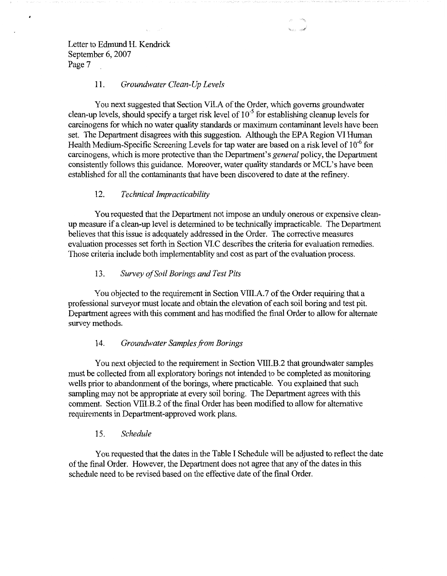## 11. *Groundwater Clean-Up Levels*

You next suggested that Section VII.A of the Order, which governs groundwater clean-up levels, should specify a target risk level of  $10^{-5}$  for establishing cleanup levels for carcinogens for which no water quality standards or maximum contaminant levels have been set. The Department disagrees with this suggestion. Although the EPA Region VI Human Health Medium-Specific Screening Levels for tap water are based on a risk level of  $10^{-6}$  for carcinogens, which is more protective than the Department's *general* policy, the Department consistently follows this guidance. Moreover, water quality standards or MCL's have been established for all the contaminants that have been discovered to date at the refinery.

### 12. *Technical Impracticability*

You requested that the Department not impose an unduly onerous or expensive cleanup measure if a clean-up level is determined to be technically impracticable. The Department believes that this issue is adequately addressed in the Order. The corrective measures evaluation processes set forth in Section VI.C describes the criteria for evaluation remedies. Those criteria include both implementablity and cost as part of the evaluation process.

### 13. *Survey of Soil Borings and Test Pits*

You objected to the requirement in Section VIII.A.7 of the Order requiring that a professional surveyor must locate and obtain the elevation of each soil boring and test pit. Department agrees with this comment and has modified the final Order to allow for alternate survey methods.

### 14. *Groundwater Samples.from Borings*

You next objected to the requirement in Section VIII.B.2 that groundwater samples must be collected from all exploratory borings not intended to be completed as monitoring wells prior to abandonment of the borings, where practicable. You explained that such sampling may not be appropriate at every soil boring. The Department agrees with this comment. Section VIII.B.2 of the final Order has been modified to allow for alternative requirements in Department-approved work plans.

### 15. *Schedule*

You requested that the dates in the Table I Schedule will be adjusted to reflect the date of the final Order. However, the Department does not agree that any of the dates in this schedule need to be revised based on the effective date of the final Order.